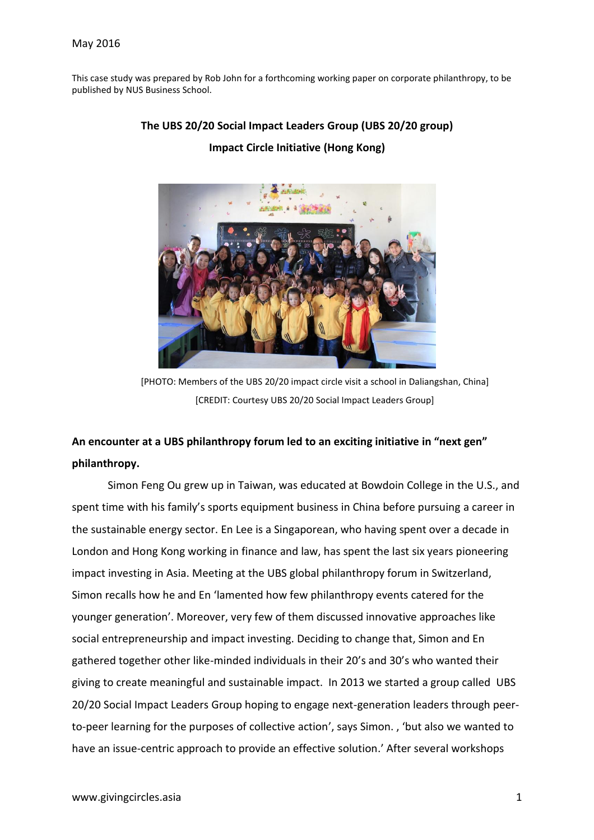This case study was prepared by Rob John for a forthcoming working paper on corporate philanthropy, to be published by NUS Business School.



## **The UBS 20/20 Social Impact Leaders Group (UBS 20/20 group)**

# **Impact Circle Initiative (Hong Kong)**

[PHOTO: Members of the UBS 20/20 impact circle visit a school in Daliangshan, China] [CREDIT: Courtesy UBS 20/20 Social Impact Leaders Group]

# **An encounter at a UBS philanthropy forum led to an exciting initiative in "next gen" philanthropy.**

Simon Feng Ou grew up in Taiwan, was educated at Bowdoin College in the U.S., and spent time with his family's sports equipment business in China before pursuing a career in the sustainable energy sector. En Lee is a Singaporean, who having spent over a decade in London and Hong Kong working in finance and law, has spent the last six years pioneering impact investing in Asia. Meeting at the UBS global philanthropy forum in Switzerland, Simon recalls how he and En 'lamented how few philanthropy events catered for the younger generation'. Moreover, very few of them discussed innovative approaches like social entrepreneurship and impact investing. Deciding to change that, Simon and En gathered together other like-minded individuals in their 20's and 30's who wanted their giving to create meaningful and sustainable impact. In 2013 we started a group called UBS 20/20 Social Impact Leaders Group hoping to engage next-generation leaders through peerto-peer learning for the purposes of collective action', says Simon. , 'but also we wanted to have an issue-centric approach to provide an effective solution.' After several workshops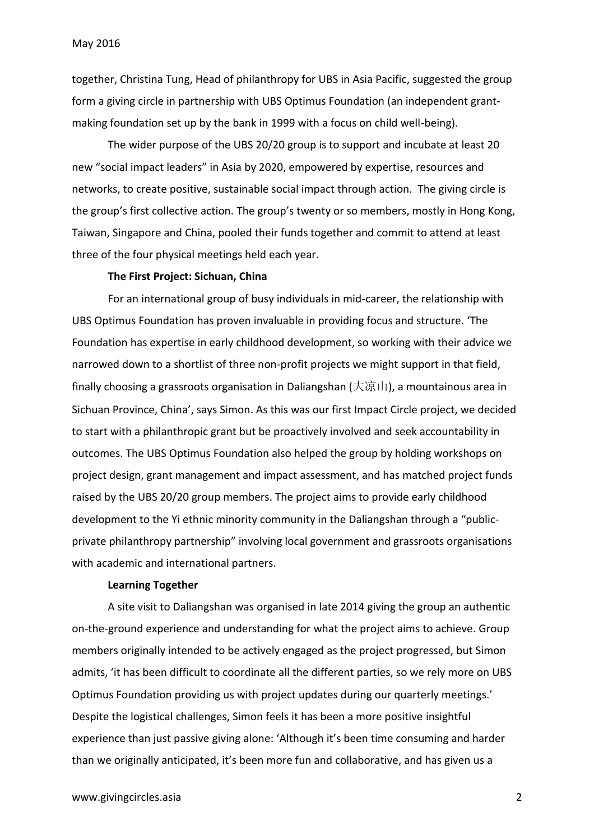together, Christina Tung, Head of philanthropy for UBS in Asia Pacific, suggested the group form a giving circle in partnership with UBS Optimus Foundation (an independent grantmaking foundation set up by the bank in 1999 with a focus on child well-being).

The wider purpose of the UBS 20/20 group is to support and incubate at least 20 new "social impact leaders" in Asia by 2020, empowered by expertise, resources and networks, to create positive, sustainable social impact through action. The giving circle is the group's first collective action. The group's twenty or so members, mostly in Hong Kong, Taiwan, Singapore and China, pooled their funds together and commit to attend at least three of the four physical meetings held each year.

## **The First Project: Sichuan, China**

For an international group of busy individuals in mid-career, the relationship with UBS Optimus Foundation has proven invaluable in providing focus and structure. 'The Foundation has expertise in early childhood development, so working with their advice we narrowed down to a shortlist of three non-profit projects we might support in that field, finally choosing a grassroots organisation in Daliangshan (大凉山), a mountainous area in Sichuan Province, China', says Simon. As this was our first Impact Circle project, we decided to start with a philanthropic grant but be proactively involved and seek accountability in outcomes. The UBS Optimus Foundation also helped the group by holding workshops on project design, grant management and impact assessment, and has matched project funds raised by the UBS 20/20 group members. The project aims to provide early childhood development to the Yi ethnic minority community in the Daliangshan through a "publicprivate philanthropy partnership" involving local government and grassroots organisations with academic and international partners.

### **Learning Together**

A site visit to Daliangshan was organised in late 2014 giving the group an authentic on-the-ground experience and understanding for what the project aims to achieve. Group members originally intended to be actively engaged as the project progressed, but Simon admits, 'it has been difficult to coordinate all the different parties, so we rely more on UBS Optimus Foundation providing us with project updates during our quarterly meetings.' Despite the logistical challenges, Simon feels it has been a more positive insightful experience than just passive giving alone: 'Although it's been time consuming and harder than we originally anticipated, it's been more fun and collaborative, and has given us a